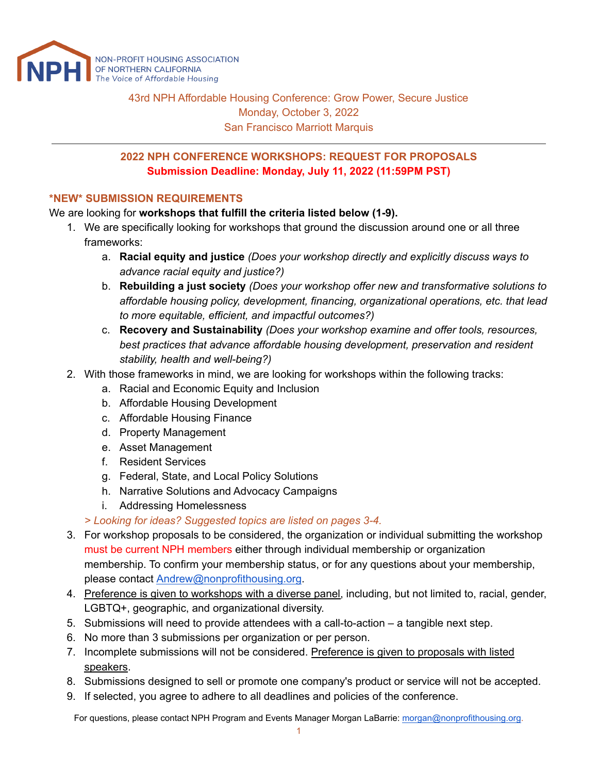

43rd NPH Affordable Housing Conference: Grow Power, Secure Justice Monday, October 3, 2022 San Francisco Marriott Marquis

# **2022 NPH CONFERENCE WORKSHOPS: REQUEST FOR PROPOSALS Submission Deadline: Monday, July 11, 2022 (11:59PM PST)**

### **\*NEW\* SUBMISSION REQUIREMENTS**

We are looking for **workshops that fulfill the criteria listed below (1-9).**

- 1. We are specifically looking for workshops that ground the discussion around one or all three frameworks:
	- a. **Racial equity and justice** *(Does your workshop directly and explicitly discuss ways to advance racial equity and justice?)*
	- b. **Rebuilding a just society** *(Does your workshop offer new and transformative solutions to affordable housing policy, development, financing, organizational operations, etc. that lead to more equitable, efficient, and impactful outcomes?)*
	- c. **Recovery and Sustainability** *(Does your workshop examine and offer tools, resources, best practices that advance affordable housing development, preservation and resident stability, health and well-being?)*
- 2. With those frameworks in mind, we are looking for workshops within the following tracks:
	- a. Racial and Economic Equity and Inclusion
	- b. Affordable Housing Development
	- c. Affordable Housing Finance
	- d. Property Management
	- e. Asset Management
	- f. Resident Services
	- g. Federal, State, and Local Policy Solutions
	- h. Narrative Solutions and Advocacy Campaigns
	- i. Addressing Homelessness
	- *> Looking for ideas? Suggested topics are listed on pages 3-4.*
- 3. For workshop proposals to be considered, the organization or individual submitting the workshop must be current NPH members either through individual membership or organization membership. To confirm your membership status, or for any questions about your membership, please contact [Andrew@nonprofithousing.org.](mailto:Andrew@nonprofithousing.org)
- 4. Preference is given to workshops with a diverse panel, including, but not limited to, racial, gender, LGBTQ+, geographic, and organizational diversity.
- 5. Submissions will need to provide attendees with a call-to-action a tangible next step.
- 6. No more than 3 submissions per organization or per person.
- 7. Incomplete submissions will not be considered. Preference is given to proposals with listed speakers.
- 8. Submissions designed to sell or promote one company's product or service will not be accepted.
- 9. If selected, you agree to adhere to all deadlines and policies of the conference.

For questions, please contact NPH Program and Events Manager Morgan LaBarrie: [morgan@nonprofithousing.org.](mailto:morgan@nonprofithousing.org)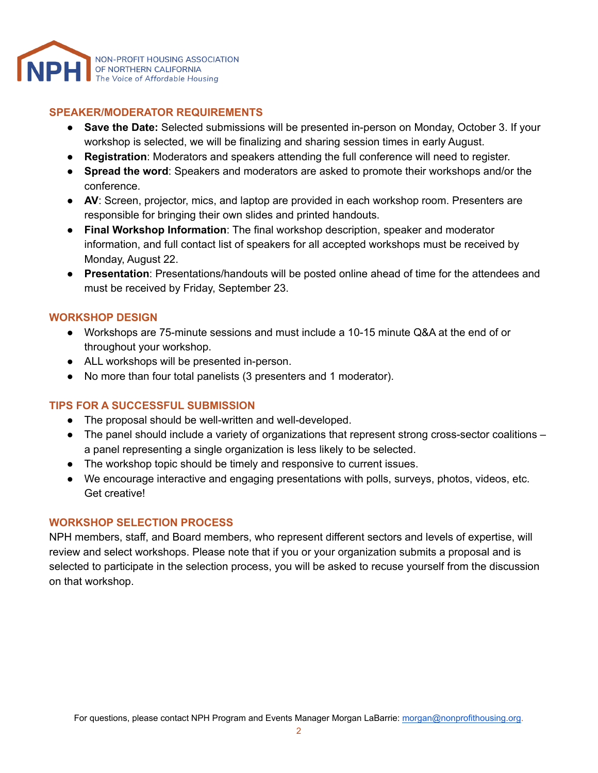

### **SPEAKER/MODERATOR REQUIREMENTS**

- **Save the Date:** Selected submissions will be presented in-person on Monday, October 3. If your workshop is selected, we will be finalizing and sharing session times in early August.
- **Registration**: Moderators and speakers attending the full conference will need to register.
- **Spread the word**: Speakers and moderators are asked to promote their workshops and/or the conference.
- **AV**: Screen, projector, mics, and laptop are provided in each workshop room. Presenters are responsible for bringing their own slides and printed handouts.
- **Final Workshop Information**: The final workshop description, speaker and moderator information, and full contact list of speakers for all accepted workshops must be received by Monday, August 22.
- **Presentation**: Presentations/handouts will be posted online ahead of time for the attendees and must be received by Friday, September 23.

#### **WORKSHOP DESIGN**

- Workshops are 75-minute sessions and must include a 10-15 minute Q&A at the end of or throughout your workshop.
- ALL workshops will be presented in-person.
- No more than four total panelists (3 presenters and 1 moderator).

#### **TIPS FOR A SUCCESSFUL SUBMISSION**

- The proposal should be well-written and well-developed.
- The panel should include a variety of organizations that represent strong cross-sector coalitions a panel representing a single organization is less likely to be selected.
- The workshop topic should be timely and responsive to current issues.
- We encourage interactive and engaging presentations with polls, surveys, photos, videos, etc. Get creative!

#### **WORKSHOP SELECTION PROCESS**

NPH members, staff, and Board members, who represent different sectors and levels of expertise, will review and select workshops. Please note that if you or your organization submits a proposal and is selected to participate in the selection process, you will be asked to recuse yourself from the discussion on that workshop.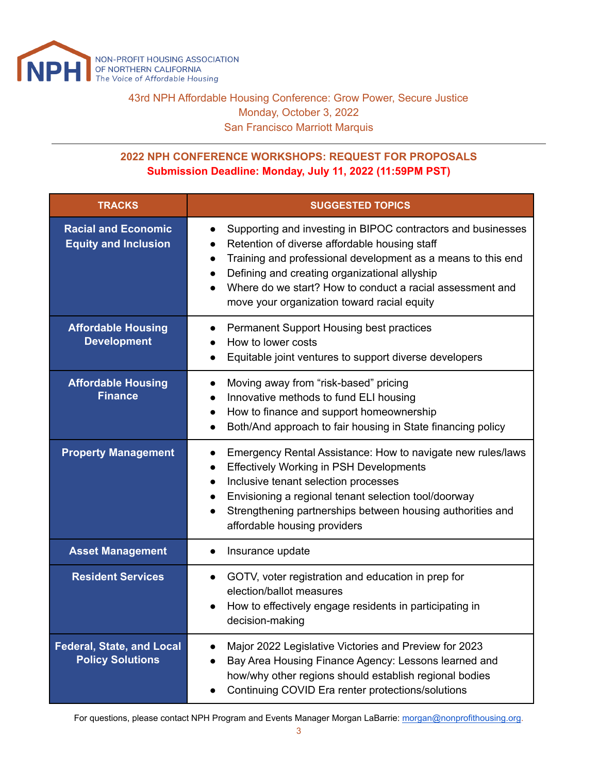

43rd NPH Affordable Housing Conference: Grow Power, Secure Justice Monday, October 3, 2022 San Francisco Marriott Marquis

# **2022 NPH CONFERENCE WORKSHOPS: REQUEST FOR PROPOSALS Submission Deadline: Monday, July 11, 2022 (11:59PM PST)**

| <b>TRACKS</b>                                               | <b>SUGGESTED TOPICS</b>                                                                                                                                                                                                                                                                                                                                                                        |
|-------------------------------------------------------------|------------------------------------------------------------------------------------------------------------------------------------------------------------------------------------------------------------------------------------------------------------------------------------------------------------------------------------------------------------------------------------------------|
| <b>Racial and Economic</b><br><b>Equity and Inclusion</b>   | Supporting and investing in BIPOC contractors and businesses<br>$\bullet$<br>Retention of diverse affordable housing staff<br>$\bullet$<br>Training and professional development as a means to this end<br>$\bullet$<br>Defining and creating organizational allyship<br>$\bullet$<br>Where do we start? How to conduct a racial assessment and<br>move your organization toward racial equity |
| <b>Affordable Housing</b><br><b>Development</b>             | Permanent Support Housing best practices<br>$\bullet$<br>How to lower costs<br>Equitable joint ventures to support diverse developers<br>$\bullet$                                                                                                                                                                                                                                             |
| <b>Affordable Housing</b><br><b>Finance</b>                 | Moving away from "risk-based" pricing<br>$\bullet$<br>Innovative methods to fund ELI housing<br>$\bullet$<br>How to finance and support homeownership<br>$\bullet$<br>Both/And approach to fair housing in State financing policy<br>$\bullet$                                                                                                                                                 |
| <b>Property Management</b>                                  | Emergency Rental Assistance: How to navigate new rules/laws<br>$\bullet$<br><b>Effectively Working in PSH Developments</b><br>$\bullet$<br>Inclusive tenant selection processes<br>$\bullet$<br>Envisioning a regional tenant selection tool/doorway<br>$\bullet$<br>Strengthening partnerships between housing authorities and<br>$\bullet$<br>affordable housing providers                   |
| <b>Asset Management</b>                                     | Insurance update<br>$\bullet$                                                                                                                                                                                                                                                                                                                                                                  |
| <b>Resident Services</b>                                    | GOTV, voter registration and education in prep for<br>$\bullet$<br>election/ballot measures<br>How to effectively engage residents in participating in<br>decision-making                                                                                                                                                                                                                      |
| <b>Federal, State, and Local</b><br><b>Policy Solutions</b> | Major 2022 Legislative Victories and Preview for 2023<br>$\bullet$<br>Bay Area Housing Finance Agency: Lessons learned and<br>how/why other regions should establish regional bodies<br>Continuing COVID Era renter protections/solutions                                                                                                                                                      |

For questions, please contact NPH Program and Events Manager Morgan LaBarrie: [morgan@nonprofithousing.org.](mailto:morgan@nonprofithousing.org)